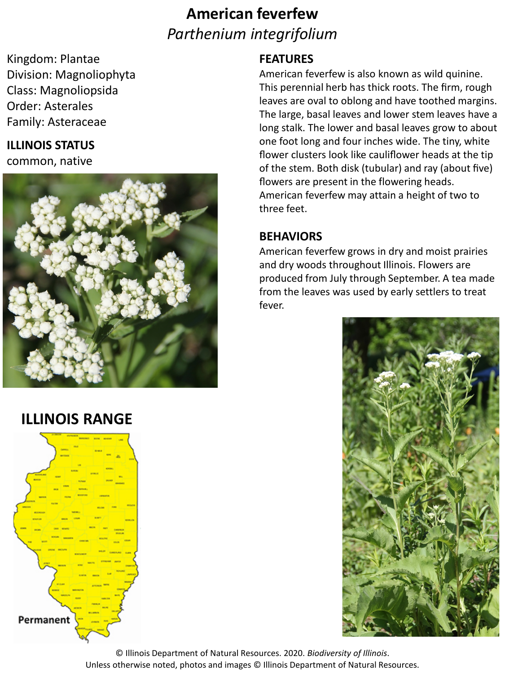# **American feverfew** *Parthenium integrifolium*

Kingdom: Plantae Division: Magnoliophyta Class: Magnoliopsida Order: Asterales Family: Asteraceae

### **ILLINOIS STATUS**

common, native



## **ILLINOIS RANGE**



### **FEATURES**

American feverfew is also known as wild quinine. This perennial herb has thick roots. The firm, rough leaves are oval to oblong and have toothed margins. The large, basal leaves and lower stem leaves have a long stalk. The lower and basal leaves grow to about one foot long and four inches wide. The tiny, white flower clusters look like cauliflower heads at the tip of the stem. Both disk (tubular) and ray (about five) flowers are present in the flowering heads. American feverfew may attain a height of two to three feet.

### **BEHAVIORS**

American feverfew grows in dry and moist prairies and dry woods throughout Illinois. Flowers are produced from July through September. A tea made from the leaves was used by early settlers to treat fever.



© Illinois Department of Natural Resources. 2020. *Biodiversity of Illinois*. Unless otherwise noted, photos and images © Illinois Department of Natural Resources.